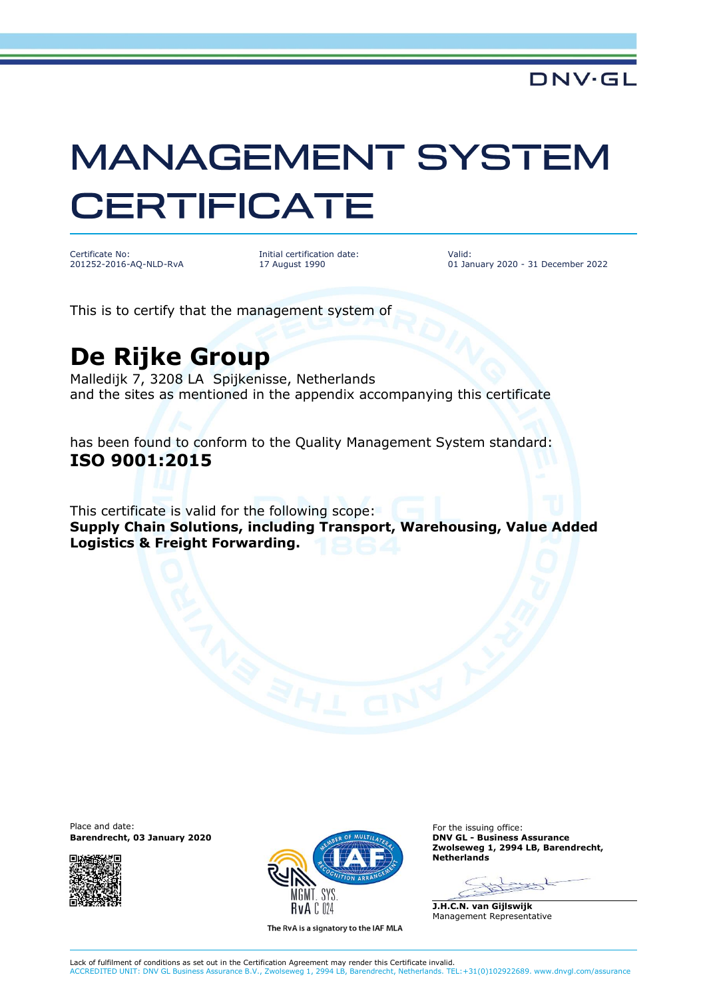## **MANAGEMENT SYSTEM CERTIFICATE**

Certificate No: 201252-2016-AQ-NLD-RvA

Initial certification date: 17 August 1990

Valid: 01 January 2020 - 31 December 2022

This is to certify that the management system of

## **De Rijke Group**

Malledijk 7, 3208 LA Spijkenisse, Netherlands and the sites as mentioned in the appendix accompanying this certificate

has been found to conform to the Quality Management System standard: **ISO 9001:2015**

This certificate is valid for the following scope: **Supply Chain Solutions, including Transport, Warehousing, Value Added Logistics & Freight Forwarding.**

Place and date:<br> **Barendrecht, 03 January 2020 Controlled and Service Controlled Barendrecht, 03 January 2020 Controlled and Service Controlled Barendrecht, 03 January 2020 Barendrecht, 03 January 2020** 





The RvA is a signatory to the IAF MLA

**Zwolseweg 1, 2994 LB, Barendrecht, Netherlands**

**J.H.C.N. van Gijlswijk** Management Representative

Lack of fulfilment of conditions as set out in the Certification Agreement may render this Certificate invalid. ACCREDITED UNIT: DNV GL Business Assurance B.V., Zwolseweg 1, 2994 LB, Barendrecht, Netherlands. TEL:+31(0)102922689. www.dnvgl.com/assurance